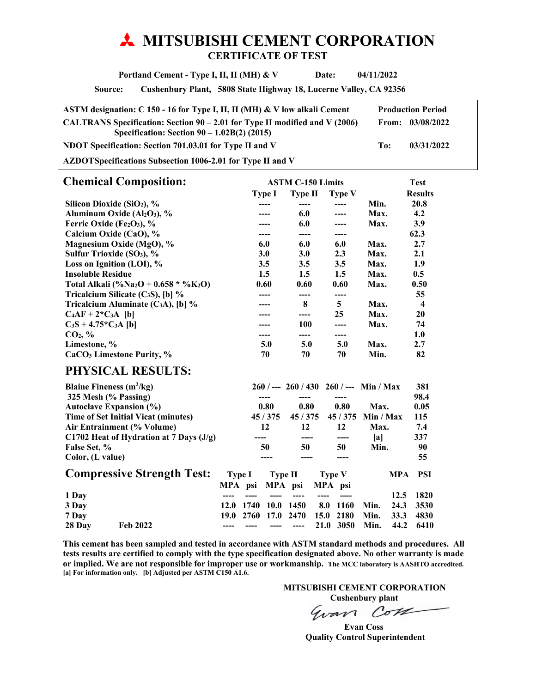# **MITSUBISHI CEMENT CORPORATION CERTIFICATE OF TEST**

 **Portland Cement - Type I, II, II (MH) & V Date: 04/11/2022** 

**Source: Cushenbury Plant, 5808 State Highway 18, Lucerne Valley, CA 92356** 

| ASTM designation: C 150 - 16 for Type I, II, II (MH) & V low alkali Cement                                                     |     | <b>Production Period</b> |
|--------------------------------------------------------------------------------------------------------------------------------|-----|--------------------------|
| CALTRANS Specification: Section $90 - 2.01$ for Type II modified and V (2006)<br>Specification: Section $90 - 1.02B(2)$ (2015) |     | From: $03/08/2022$       |
| NDOT Specification: Section 701.03.01 for Type II and V                                                                        | To: | 03/31/2022               |
| $\lambda$ 7DOTC $\mu$ $\mu$ Only and $\mu$ 1006. A 01 for The CIT and V                                                        |     |                          |

**AZDOT Specifications Subsection 1006-2.01 for Type II and V** 

| <b>Chemical Composition:</b>                                  |            | <b>ASTM C-150 Limits</b> |               |      |                  |
|---------------------------------------------------------------|------------|--------------------------|---------------|------|------------------|
|                                                               | Type I     | Type II                  | <b>Type V</b> |      | <b>Results</b>   |
| Silicon Dioxide (SiO <sub>2</sub> ), %                        | ----       | ----                     | ----          | Min. | 20.8             |
| Aluminum Oxide (Al2O3), %                                     |            | 6.0                      |               | Max. | 4.2              |
| Ferric Oxide (Fe2O3), $\%$                                    |            | 6.0                      |               | Max. | 3.9              |
| Calcium Oxide (CaO), %                                        |            | ----                     | ----          |      | 62.3             |
| Magnesium Oxide (MgO), %                                      | 6.0        | 6.0                      | 6.0           | Max. | 2.7              |
| Sulfur Trioxide (SO <sub>3</sub> ), %                         | <b>3.0</b> | 3.0                      | 2.3           | Max. | 2.1              |
| Loss on Ignition (LOI), $%$                                   | 3.5        | 3.5                      | 3.5           | Max. | 1.9              |
| <b>Insoluble Residue</b>                                      | $1.5\,$    | $1.5\,$                  | $1.5\,$       | Max. | 0.5              |
| Total Alkali (%Na <sub>2</sub> O + 0.658 * %K <sub>2</sub> O) | 0.60       | 0.60                     | 0.60          | Max. | 0.50             |
| Tricalcium Silicate $(C_3S)$ , [b] %                          |            | ----                     | ----          |      | 55               |
| Tricalcium Aluminate (C <sub>3</sub> A), [b] $\%$             |            | 8                        | 5             | Max. | $\boldsymbol{4}$ |
| $C_4AF + 2*C_3A$ [b]                                          |            |                          | 25            | Max. | 20               |
| $C_3S + 4.75*C_3A$ [b]                                        |            | 100                      |               | Max. | 74               |
| CO <sub>2</sub> , %                                           |            |                          | ----          |      | 1.0              |
| Limestone, %                                                  | 5.0        | 5.0                      | 5.0           | Max. | 2.7              |
| CaCO <sub>3</sub> Limestone Purity, %                         | 70         | 70                       | 70            | Min. | 82               |
| <b>PHYSICAL RESULTS:</b>                                      |            |                          |               |      |                  |

| Blaine Fineness $(m^2/kg)$ |                                           |        |      |         |         |      | $260$ / --- $260$ / 430 $260$ / --- Min / Max |           |            | 381  |
|----------------------------|-------------------------------------------|--------|------|---------|---------|------|-----------------------------------------------|-----------|------------|------|
| 325 Mesh (% Passing)       |                                           |        |      | ----    |         |      | ----                                          |           |            | 98.4 |
|                            | <b>Autoclave Expansion (%)</b>            |        |      | 0.80    | 0.80    |      | 0.80                                          | Max.      |            | 0.05 |
|                            | Time of Set Initial Vicat (minutes)       |        |      | 45/375  | 45/375  |      | 45/375                                        | Min / Max |            | 115  |
|                            | Air Entrainment (% Volume)                |        |      | 12      | 12      |      | 12                                            | Max.      |            | 7.4  |
|                            | C1702 Heat of Hydration at 7 Days $(J/g)$ |        |      |         |         |      | ----                                          | lal       |            | 337  |
| False Set, %               |                                           |        |      | 50      | 50      |      | 50                                            | Min.      |            | 90   |
| Color, (L value)           |                                           |        |      |         |         |      |                                               |           |            | 55   |
|                            | <b>Compressive Strength Test:</b>         | Type I |      | Type II |         |      | <b>Type V</b>                                 |           | <b>MPA</b> | PSI  |
|                            |                                           | MPA    | psi  |         | MPA psi |      | MPA psi                                       |           |            |      |
| 1 Day                      |                                           |        |      |         |         |      |                                               |           | 12.5       | 1820 |
| 3 Day                      |                                           | 12.0   | 1740 | 10.0    | 1450    | 8.0  | 1160                                          | Min.      | 24.3       | 3530 |
| 7 Day                      |                                           | 19.0   | 2760 | 17.0    | 2470    | 15.0 | 2180                                          | Min.      | 33.3       | 4830 |
| 28 Day                     | Feb 2022                                  |        |      |         |         | 21.0 | 3050                                          | Min.      | 44.2       | 6410 |

**This cement has been sampled and tested in accordance with ASTM standard methods and procedures. All tests results are certified to comply with the type specification designated above. No other warranty is made or implied. We are not responsible for improper use or workmanship. The MCC laboratory is AASHTO accredited. [a] For information only. [b] Adjusted per ASTM C150 A1.6.** 

 **MITSUBISHI CEMENT CORPORATION** 

**Cushenbury plant**<br> *CoVL* Gvan

 **Evan Coss Quality Control Superintendent**